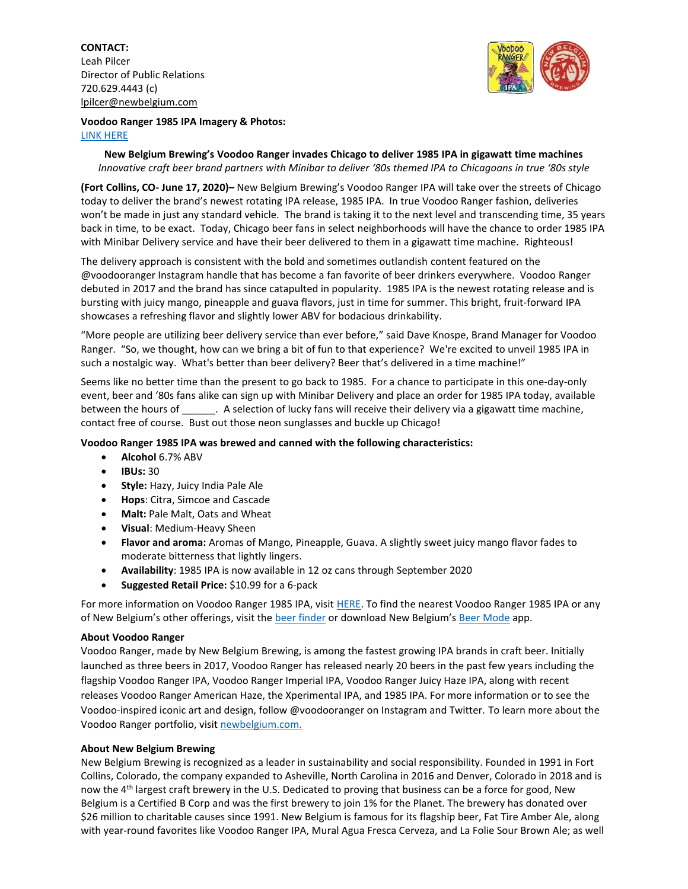**CONTACT:** Leah Pilcer Director of Public Relations 720.629.4443 (c) [lpilcer@newbelgium.com](mailto:lpilcer@newbelgium.com)



## **Voodoo Ranger 1985 IPA Imagery & Photos:**  [LINK HERE](https://brandfolder.com/s/q9nx5g-c3ry7c-5quq9u)

**New Belgium Brewing's Voodoo Ranger invades Chicago to deliver 1985 IPA in gigawatt time machines** *Innovative craft beer brand partners with Minibar to deliver '80s themed IPA to Chicagoans in true '80s style*

**(Fort Collins, CO- June 17, 2020)–** New Belgium Brewing's Voodoo Ranger IPA will take over the streets of Chicago today to deliver the brand's newest rotating IPA release, 1985 IPA. In true Voodoo Ranger fashion, deliveries won't be made in just any standard vehicle. The brand is taking it to the next level and transcending time, 35 years back in time, to be exact. Today, Chicago beer fans in select neighborhoods will have the chance to order 1985 IPA with Minibar Delivery service and have their beer delivered to them in a gigawatt time machine. Righteous!

The delivery approach is consistent with the bold and sometimes outlandish content featured on the @voodooranger Instagram handle that has become a fan favorite of beer drinkers everywhere. Voodoo Ranger debuted in 2017 and the brand has since catapulted in popularity. 1985 IPA is the newest rotating release and is bursting with juicy mango, pineapple and guava flavors, just in time for summer. This bright, fruit-forward IPA showcases a refreshing flavor and slightly lower ABV for bodacious drinkability.

"More people are utilizing beer delivery service than ever before," said Dave Knospe, Brand Manager for Voodoo Ranger. "So, we thought, how can we bring a bit of fun to that experience? We're excited to unveil 1985 IPA in such a nostalgic way. What's better than beer delivery? Beer that's delivered in a time machine!"

Seems like no better time than the present to go back to 1985. For a chance to participate in this one-day-only event, beer and '80s fans alike can sign up with Minibar Delivery and place an order for 1985 IPA today, available between the hours of . A selection of lucky fans will receive their delivery via a gigawatt time machine, contact free of course. Bust out those neon sunglasses and buckle up Chicago!

## **Voodoo Ranger 1985 IPA was brewed and canned with the following characteristics:**

- **Alcohol** 6.7% ABV
- **IBUs:** 30
- **Style:** Hazy, Juicy India Pale Ale
- **Hops**: Citra, Simcoe and Cascade
- **Malt:** Pale Malt, Oats and Wheat
- **Visual**: Medium-Heavy Sheen
- **Flavor and aroma:** Aromas of Mango, Pineapple, Guava. A slightly sweet juicy mango flavor fades to moderate bitterness that lightly lingers.
- **Availability**: 1985 IPA is now available in 12 oz cans through September 2020
- **Suggested Retail Price:** \$10.99 for a 6-pack

For more information on Voodoo Ranger 1985 IPA, visit [HERE.](file:///C:/Users/megan.olson/Desktop/Megan%20Olson-%20Public%20Relations/Press%20Releases/HERE) To find the nearest Voodoo Ranger 1985 IPA or any of New Belgium's other offerings, visit the [beer finder](https://www.newbelgium.com/beer/finder/) or download New Belgium's [Beer Mode](https://www.newbelgium.com/app/) app.

## **About Voodoo Ranger**

Voodoo Ranger, made by New Belgium Brewing, is among the fastest growing IPA brands in craft beer. Initially launched as three beers in 2017, Voodoo Ranger has released nearly 20 beers in the past few years including the flagship Voodoo Ranger IPA, Voodoo Ranger Imperial IPA, Voodoo Ranger Juicy Haze IPA, along with recent releases Voodoo Ranger American Haze, the Xperimental IPA, and 1985 IPA. For more information or to see the Voodoo-inspired iconic art and design, follow @voodooranger on Instagram and Twitter. To learn more about the Voodoo Ranger portfolio, visit [newbelgium.com.](https://www.newbelgium.com/) 

## **About New Belgium Brewing**

New Belgium Brewing is recognized as a leader in sustainability and social responsibility. Founded in 1991 in Fort Collins, Colorado, the company expanded to Asheville, North Carolina in 2016 and Denver, Colorado in 2018 and is now the 4th largest craft brewery in the U.S. Dedicated to proving that business can be a force for good, New Belgium is a Certified B Corp and was the first brewery to join 1% for the Planet. The brewery has donated over \$26 million to charitable causes since 1991. New Belgium is famous for its flagship beer, Fat Tire Amber Ale, along with year-round favorites like Voodoo Ranger IPA, Mural Agua Fresca Cerveza, and La Folie Sour Brown Ale; as well